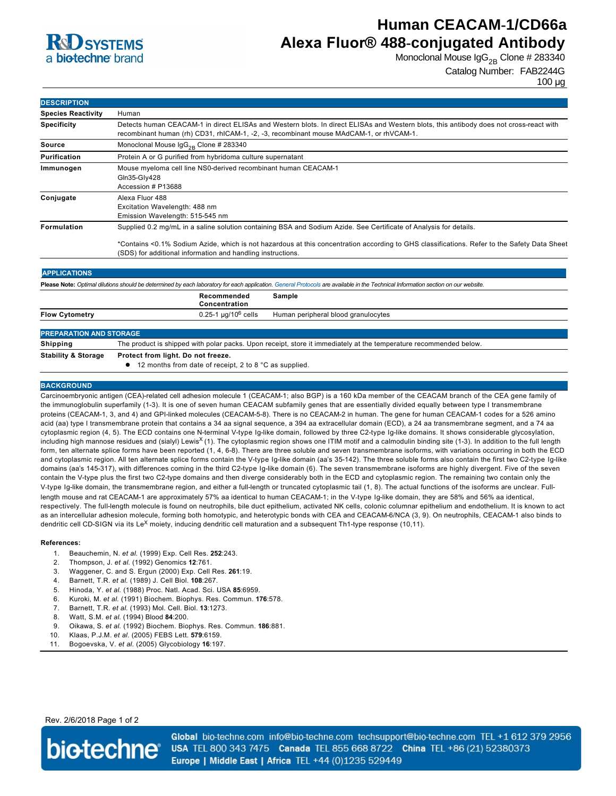

# **Human CEACAM-1/CD66a Alexa Fluor® 488-conjugated Antibody**

Monoclonal Mouse  $\lg G_{2B}$  Clone # 283340

```
Catalog Number: FAB2244G
```
100 µg

| <b>DESCRIPTION</b>             |                                                                                                                                                                                                                                                                                                                                 |
|--------------------------------|---------------------------------------------------------------------------------------------------------------------------------------------------------------------------------------------------------------------------------------------------------------------------------------------------------------------------------|
| <b>Species Reactivity</b>      | Human                                                                                                                                                                                                                                                                                                                           |
| <b>Specificity</b>             | Detects human CEACAM-1 in direct ELISAs and Western blots. In direct ELISAs and Western blots, this antibody does not cross-react with<br>recombinant human (rh) CD31, rhICAM-1, -2, -3, recombinant mouse MAdCAM-1, or rhVCAM-1.                                                                                               |
| <b>Source</b>                  | Monoclonal Mouse $\text{lgG}_{2B}$ Clone # 283340                                                                                                                                                                                                                                                                               |
| Purification                   | Protein A or G purified from hybridoma culture supernatant                                                                                                                                                                                                                                                                      |
| Immunogen                      | Mouse myeloma cell line NS0-derived recombinant human CEACAM-1<br>Gln35-Gly428<br>Accession # P13688                                                                                                                                                                                                                            |
| Conjugate                      | Alexa Fluor 488<br>Excitation Wavelength: 488 nm<br>Emission Wavelength: 515-545 nm                                                                                                                                                                                                                                             |
| Formulation                    | Supplied 0.2 mg/mL in a saline solution containing BSA and Sodium Azide. See Certificate of Analysis for details.<br>*Contains <0.1% Sodium Azide, which is not hazardous at this concentration according to GHS classifications. Refer to the Safety Data Sheet<br>(SDS) for additional information and handling instructions. |
| <b>APPLICATIONS</b>            |                                                                                                                                                                                                                                                                                                                                 |
|                                | Please Note: Optimal dilutions should be determined by each laboratory for each application. General Protocols are available in the Technical Information section on our website.<br>Recommended<br><b>Sample</b><br>Concentration                                                                                              |
| <b>Flow Cytometry</b>          | $0.25 - 1 \mu q/10^6$ cells<br>Human peripheral blood granulocytes                                                                                                                                                                                                                                                              |
| <b>PREPARATION AND STORAGE</b> |                                                                                                                                                                                                                                                                                                                                 |
| <b>Shipping</b>                | The product is shipped with polar packs. Upon receipt, store it immediately at the temperature recommended below.                                                                                                                                                                                                               |
| <b>Stability &amp; Storage</b> | Protect from light. Do not freeze.<br>12 months from date of receipt, 2 to 8 °C as supplied.                                                                                                                                                                                                                                    |

### **BACKGROUND**

Carcinoembryonic antigen (CEA)related cell adhesion molecule 1 (CEACAM1; also BGP) is a 160 kDa member of the CEACAM branch of the CEA gene family of the immunoglobulin superfamily (13). It is one of seven human CEACAM subfamily genes that are essentially divided equally between type I transmembrane proteins (CEACAM-1, 3, and 4) and GPI-linked molecules (CEACAM-5-8). There is no CEACAM-2 in human. The gene for human CEACAM-1 codes for a 526 amino acid (aa) type I transmembrane protein that contains a 34 aa signal sequence, a 394 aa extracellular domain (ECD), a 24 aa transmembrane segment, and a 74 aa cytoplasmic region (4, 5). The ECD contains one N-terminal V-type Ig-like domain, followed by three C2-type Ig-like domains. It shows considerable glycosylation, including high mannose residues and (sialyl) Lewis<sup>x</sup> (1). The cytoplasmic region shows one ITIM motif and a calmodulin binding site (1-3). In addition to the full length form, ten alternate splice forms have been reported (1, 4, 68). There are three soluble and seven transmembrane isoforms, with variations occurring in both the ECD and cytoplasmic region. All ten alternate splice forms contain the V-type Ig-like domain (aa's 35-142). The three soluble forms also contain the first two C2-type Ig-like domains (aa's 145-317), with differences coming in the third C2-type Ig-like domain (6). The seven transmembrane isoforms are highly divergent. Five of the seven contain the V-type plus the first two C2-type domains and then diverge considerably both in the ECD and cytoplasmic region. The remaining two contain only the V-type Ig-like domain, the transmembrane region, and either a full-length or truncated cytoplasmic tail (1, 8). The actual functions of the isoforms are unclear. Fulllength mouse and rat CEACAM1 are approximately 57% aa identical to human CEACAM1; in the Vtype Iglike domain, they are 58% and 56% aa identical, respectively. The full-length molecule is found on neutrophils, bile duct epithelium, activated NK cells, colonic columnar epithelium and endothelium. It is known to act as an intercellular adhesion molecule, forming both homotypic, and heterotypic bonds with CEA and CEACAM-6/NCA (3, 9). On neutrophils, CEACAM-1 also binds to dendritic cell CD-SIGN via its Le<sup>X</sup> moiety, inducing dendritic cell maturation and a subsequent Th1-type response (10,11).

#### **References:**

- 1. Beauchemin, N. *et al*. (1999) Exp. Cell Res. **252**:243.
- 2. Thompson, J. *et al*. (1992) Genomics **12**:761.
- 3. Waggener, C. and S. Ergun (2000) Exp. Cell Res. **261**:19.
- 4. Barnett, T.R. *et al*. (1989) J. Cell Biol. **108**:267.
- 5. Hinoda, Y. *et al*. (1988) Proc. Natl. Acad. Sci. USA **85**:6959.
- 6. Kuroki, M. *et al*. (1991) Biochem. Biophys. Res. Commun. **176**:578.
- 7. Barnett, T.R. *et al*. (1993) Mol. Cell. Biol. **13**:1273.
- 8. Watt, S.M. *et al*. (1994) Blood **84**:200.
- 9. Oikawa, S. *et al*. (1992) Biochem. Biophys. Res. Commun. **186**:881.
- 10. Klaas, P.J.M. *et al*. (2005) FEBS Lett. **579**:6159.
- 11. Bogoevska, V. *et al*. (2005) Glycobiology **16**:197.

Rev. 2/6/2018 Page 1 of 2



Global bio-techne.com info@bio-techne.com techsupport@bio-techne.com TEL +1 612 379 2956 USA TEL 800 343 7475 Canada TEL 855 668 8722 China TEL +86 (21) 52380373 Europe | Middle East | Africa TEL +44 (0)1235 529449